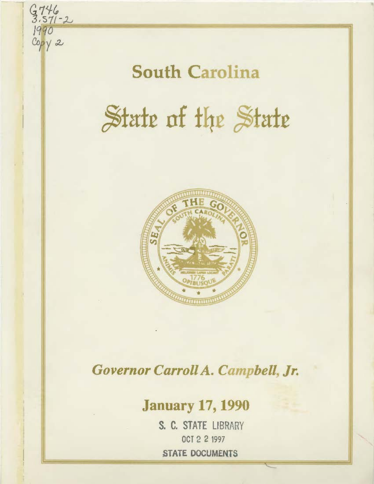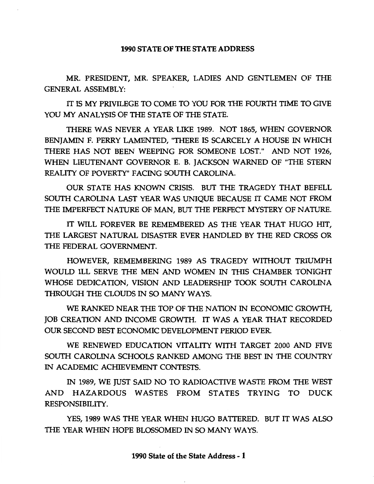## 1990 STATE OF THE STATE ADDRESS

MR. PRESIDENT, MR. SPEAKER, LADIES AND GENTLEMEN OF THE GENERAL ASSEMBLY:

IT IS MY PRIVILEGE TO COME TO YOU FOR THE FOURTH TIME TO GIVE YOU MY ANALYSIS OF THE STATE OF THE STATE.

THERE WAS NEVER A YEAR LIKE 1989. NOT 1865, WHEN GOVERNOR BENJAMIN F. PERRY LAMENTED, "THERE IS SCARCELY A HOUSE IN WHICH THERE HAS NOT BEEN WEEPING FOR SOMEONE LOST." AND NOT 1926, WHEN LIEUTENANT GOVERNOR E. B. JACKSON WARNED OF "THE STERN REALITY OF POVERTY" FACING SOUTH CAROLINA.

OUR STATE HAS KNOWN CRISIS. BUT THE TRAGEDY THAT BEFELL SOUTH CAROLINA LAST YEAR WAS UNIQUE BECAUSE IT CAME NOT FROM THE IMPERFECT NATURE OF MAN, BUT THE PERFECT MYSTERY OF NATURE.

IT WILL FOREVER BE REMEMBERED AS THE YEAR THAT HUGO HIT, THE LARGEST NATURAL DISASTER EVER HANDLED BY THE RED CROSS OR THE FEDERAL GOVERNMENT.

HOWEVER, REMEMBERING 1989 AS TRAGEDY WITHOUT TRIUMPH WOULD ILL SERVE THE MEN AND WOMEN IN THIS CHAMBER TONIGHT WHOSE DEDICATION, VISION AND LEADERSHIP TOOK SOUTH CAROLINA THROUGH THE CLOUDS IN SO MANY WAYS.

WE RANKED NEAR THE TOP OF THE NATION IN ECONOMIC GROWTH, JOB CREATION AND INCOME GROWTH. IT WAS A YEAR THAT RECORDED OUR SECOND BEST ECONOMIC DEVELOPMENT PERIOD EVER.

WE RENEWED EDUCATION VITALITY WITH TARGET 2000 AND FIVE SOUTH CAROLINA SCHOOLS RANKED AMONG THE BEST IN THE COUNTRY IN ACADEMIC ACHIEVEMENT CONTESTS.

IN 1989, WE JUST SAID NO TO RADIOACTIVE WASTE FROM THE WEST AND HAZARDOUS WASTES FROM STATES TRYING TO DUCK RESPONSIBILITY.

YES, 1989 WAS THE YEAR WHEN HUGO BATTERED. BUT IT WAS ALSO THE YEAR WHEN HOPE BLOSSOMED IN SO MANY WAYS.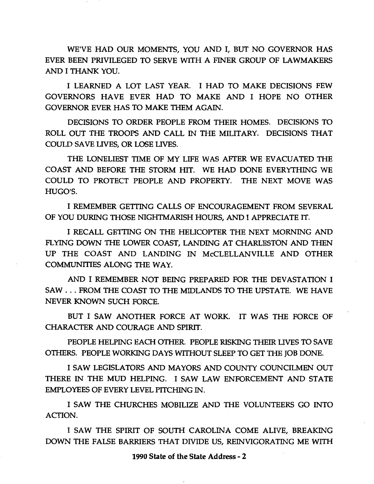WE'VE HAD OUR MOMENTS, YOU AND I, BUT NO GOVERNOR HAS EVER BEEN PRIVILEGED TO SERVE WITH A FINER GROUP OF LAWMAKERS AND I THANK YOU.

I LEARNED A LOT LAST YEAR. I HAD TO MAKE DECISIONS FEW GOVERNORS HAVE EVER HAD TO MAKE AND I HOPE NO OTHER GOVERNOR EVER HAS TO MAKE THEM AGAIN.

DECISIONS TO ORDER PEOPLE FROM THEIR HOMES. DECISIONS TO ROLL OUT THE TROOPS AND CALL IN THE MILITARY. DECISIONS THAT COULD SAVE LIVES, OR LOSE LIVES.

THE LONELIEST TIME OF MY LIFE WAS AFTER WE EVACUATED THE COAST AND BEFORE THE STORM HIT. WE HAD DONE EVERYTHING WE COULD TO PROTECT PEOPLE AND PROPERTY. THE NEXT MOVE WAS HUGO'S.

I REMEMBER GETTING CALLS OF ENCOURAGEMENT FROM SEVERAL OF YOU DURING THOSE NIGHTMARISH HOURS, AND I APPRECIATE IT.

I RECALL GETTING ON THE HELICOPTER THE NEXT MORNING AND FLYING DOWN THE LOWER COAST, LANDING AT CHARLESTON AND THEN UP THE COAST AND LANDING IN McCLELLANVILLE AND OTHER COMMUNITIES ALONG THE WAY.

AND I REMEMBER NOT BEING PREPARED FOR THE DEVASTATION I SAW ... FROM THE COAST TO THE MIDLANDS TO THE UPSTATE. WE HAVE NEVER KNOWN SUCH FORCE.

BUT I SAW ANOTHER FORCE AT WORK. IT WAS THE FORCE OF CHARACTER AND COURAGE AND SPIRIT.

PEOPLE HELPING EACH OTHER. PEOPLE RISKING THEIR UVES TO SAVE OTHERS. PEOPLE WORKING DAYS WITHOUT SLEEP TO GET THE JOB DONE.

I SAW LEGISLATORS AND MAYORS AND COUNTY COUNCILMEN OUT THERE IN THE MUD HELPING. I SAW LAW ENFORCEMENT AND STATE EMPLOYEES OF EVERY LEVEL PITCHING IN.

I SAW THE CHURCHES MOBILIZE AND THE VOLUNTEERS GO INTO ACTION.

I SAW THE SPIRIT OF SOUTH CAROLINA COME ALIVE, BREAKING DOWN THE FALSE BARRIERS THAT DIVIDE US, REINVIGORATING ME WITH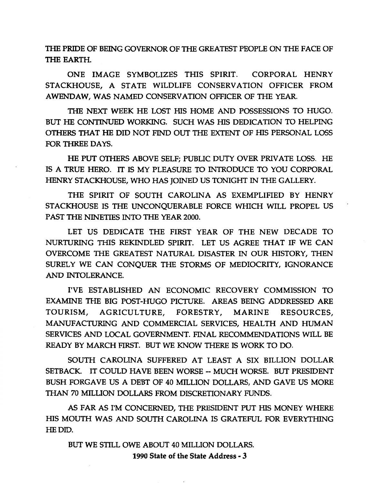TilE PRIDE OF BEING GOVERNOR OF TilE GREATEST PEOPLE ON THE FACE OF THE EARTH.

ONE IMAGE SYMBOLIZES THIS SPIRIT. CORPORAL HENRY STACKHOUSE, A STATE WILDLIFE CONSERVATION OFFICER FROM AWENDAW, WAS NAMED CONSERVATION OFFICER OF THE YEAR.

THE NEXT WEEK HE LOST HIS HOME AND POSSESSIONS TO HUGO. BUT HE CONTINUED WORKING. SUCH WAS HIS DEDICATION TO HELPING OTIIERS THAT HE DID NOT FIND OUT THE EXTENT OF HIS PERSONAL LOSS FOR THREE DAYS.

HE PUT OTIIERS ABOVE SELF; PUBLIC DUTY OVER PRIVATE LOSS. HE IS A TRUE HERO. IT IS MY PLEASURE TO INTRODUCE TO YOU CORPORAL HENRY STACKHOUSE, WHO HAS JOINED US TONIGHT IN THE GALLERY.

THE SPIRIT OF SOUTH CAROLINA AS EXEMPLIFIED BY HENRY STACKHOUSE IS THE UNCONQUERABLE FORCE WHICH WILL PROPEL US PAST THE NINETIES INTO THE YEAR 2000.

LET US DEDICATE THE FIRST YEAR OF THE NEW DECADE TO NURTURING THIS REKINDLED SPIRIT. LET US AGREE THAT IF WE CAN OVERCOME THE GREATEST NATURAL DISASTER IN OUR HISTORY, THEN SURELY WE CAN CONQUER THE STORMS OF MEDIOCRITY, IGNORANCE AND INTOLERANCE.

I'VE ESTABLISHED AN ECONOMIC RECOVERY COMMISSION TO EXAMINE THE BIG POST-HUGO PICTURE. AREAS BEING ADDRESSED ARE TOURISM, AGRICULTURE, FORESTRY, MARINE RESOURCES, MANUFACTURING AND COMMERCIAL SERVICES, HEALTH AND HUMAN SERVICES AND LOCAL GOVERNMENT. FINAL RECOMMENDATIONS WILL BE READY BY MARCH FIRST. BUT WE KNOW TIIERE IS WORK TO DO.

SOUTH CAROLINA SUFFERED AT LEAST A SIX BILLION DOLLAR SETBACK. IT COULD HAVE BEEN WORSE -- MUCH WORSE. BUT PRESIDENT BUSH FORGAVE US A DEBT OF 40 MILLION DOLLARS, AND GAVE US MORE THAN 70 MILUON DOLLARS FROM DISCRETIONARY FUNDS.

AS FAR AS I'M CONCERNED, THE PRESIDENT PUT HIS MONEY WHERE HIS MOUTH WAS AND SOUTH CAROLINA IS GRATEFUL FOR EVERYTHING HE DID.

BUT WE STILL OWE ABOUT 40 MILLION DOLLARS. 1990 State of the State Address - 3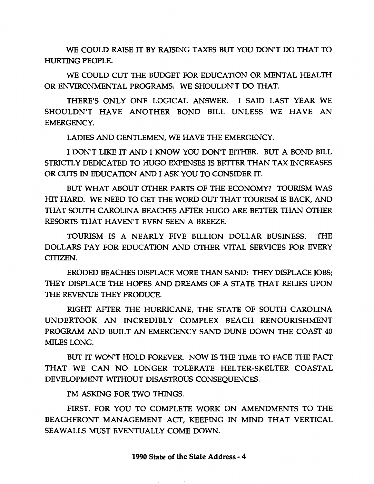WE COULD RAISE IT BY RAISING TAXES BUT YOU DON'T DO THAT TO HURTING PEOPLE.

WE COULD CUT THE BUDGET FOR EDUCATION OR MENTAL HEALTH OR ENVIRONMENTAL PROGRAMS. WE SHOULDN'T DO THAT.

THERE'S ONLY ONE LOGICAL ANSWER. I SAID LAST YEAR WE SHOULDN'T HAVE ANOTHER BOND BILL UNLESS WE HAVE AN EMERGENCY.

LADIES AND GENTLEMEN, WE HAVE THE EMERGENCY.

I DON'T LIKE IT AND I KNOW YOU DON'T EITHER. BUT A BOND BILL STRICTLY DEDICATED TO HUGO EXPENSES IS BETTER THAN TAX INCREASES OR CUTS IN EDUCATION AND I ASK YOU TO CONSIDER IT.

BUT WHAT ABOUT OTHER PARTS OF THE ECONOMY? TOURISM WAS HIT HARD. WE NEED TO GET THE WORD OUT THAT TOURISM IS BACK, AND THAT SOUTH CAROLINA BEACHES AFTER HUGO ARE BETTER THAN OTHER RESORTS THAT HAVEN'T EVEN SEEN A BREEZE.

TOURISM IS A NEARLY FIVE BILLION DOLLAR BUSINESS. THE DOLLARS PAY FOR EDUCATION AND OTHER VITAL SERVICES FOR EVERY CITIZEN.

ERODED BEACHES DISPLACE MORE THAN SAND: THEY DISPLACE JOBS; THEY DISPLACE THE HOPES AND DREAMS OF A STATE THAT RELIES UPON THE REVENUE THEY PRODUCE.

RIGHT AFTER THE HURRICANE, THE STATE OF SOUTH CAROLINA UNDERTOOK AN INCREDIBLY COMPLEX BEACH RENOURISHMENT PROGRAM AND BUILT AN EMERGENCY SAND DUNE DOWN THE COAST 40 MILES LONG.

BUT IT WON'T HOLD FOREVER. NOW IS THE TIME TO FACE THE FACT THAT WE CAN NO LONGER TOLERATE HELTER-SKELTER COASTAL DEVELOPMENT WITHOUT DISASTROUS CONSEQUENCES.

I'M ASKING FOR TWO THINGS.

FIRST, FOR YOU TO COMPLETE WORK ON AMENDMENTS TO THE BEACHFRONT MANAGEMENT ACT, KEEPING IN MIND THAT VERTICAL SEAWALLS MUST EVENTUALLY COME DOWN.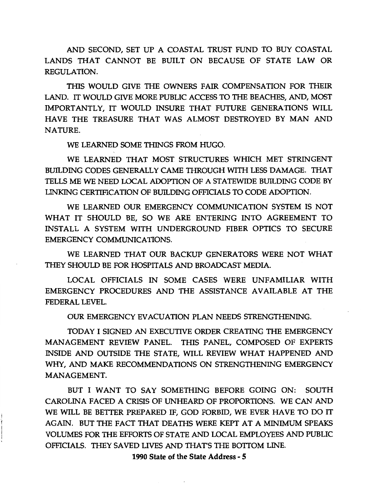AND SECOND, SET UP A COASTAL TRUST FUND TO BUY COASTAL LANDS THAT CANNOT BE BUILT ON BECAUSE OF STATE LAW OR REGULATION.

THIS WOULD GIVE THE OWNERS FAIR COMPENSATION FOR THEIR LAND. IT WOULD GIVE MORE PUBLIC ACCESS TO THE BEACHES, AND, MOST IMPORTANTLY, IT WOULD INSURE THAT FUTURE GENERATIONS WILL HAVE THE TREASURE THAT WAS ALMOST DESTROYED BY MAN AND NATURE.

WE LEARNED SOME THINGS FROM HUGO.

WE LEARNED THAT MOST STRUCTURES WHICH MET STRINGENT BUILDING CODES GENERALLY CAME THROUGH WITH LESS DAMAGE. THAT TELLS ME WE NEED LOCAL ADOPTION OF A STATEWIDE BUILDING CODE BY LINKING CERTIFICATION OF BUILDING OFFICIALS TO CODE ADOPTION.

WE LEARNED OUR EMERGENCY COMMUNICATION SYSTEM IS NOT WHAT IT SHOULD BE, SO WE ARE ENTERING INTO AGREEMENT TO INSTALL A SYSTEM WITH UNDERGROUND FIBER OPTICS TO SECURE EMERGENCY COMMUNICATIONS.

WE LEARNED THAT OUR BACKUP GENERATORS WERE NOT WHAT THEY SHOULD BE FOR HOSPITALS AND BROADCAST MEDIA.

LOCAL OFFICIALS IN SOME CASES WERE UNFAMILIAR WITH EMERGENCY PROCEDURES AND THE ASSISTANCE AVAILABLE AT THE FEDERAL LEVEL.

OUR EMERGENCY EVACUATION PLAN NEEDS STRENGTHENING.

TODAY I SIGNED AN EXECUTIVE ORDER CREATING THE EMERGENCY MANAGEMENT REVIEW PANEL. THIS PANEL, COMPOSED OF EXPERTS INSIDE AND OUTSIDE THE STATE, WILL REVIEW WHAT HAPPENED AND WHY, AND MAKE RECOMMENDATIONS ON STRENGTHENING EMERGENCY MANAGEMENT.

BUT I WANT TO SAY SOMETHING BEFORE GOING ON: SOUTH CAROLINA FACED A CRISIS OF UNHEARD OF PROPORTIONS. WE CAN AND WE WILL BE BETTER PREPARED IF, GOD FORBID, WE EVER HAVE TO DO IT AGAIN. BUT THE FACT THAT DEATHS WERE KEPT AT A MINIMUM SPEAKS VOLUMES FOR THE EFFORTS OF STATE AND LOCAL EMPLOYEES AND PUBLIC OFFICIALS. THEY SAVED LIVES AND THAT'S THE BOTTOM LINE.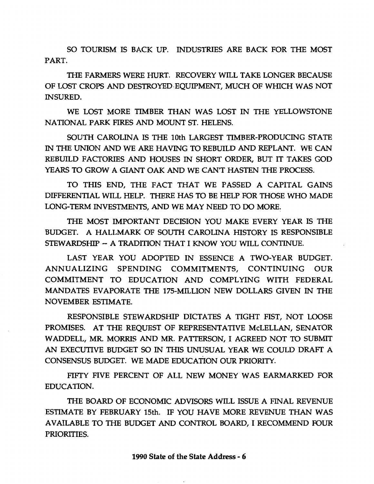SO TOURISM IS BACK UP. INDUSTRIES ARE BACK FOR THE MOST PART.

THE FARMERS WERE HURT. RECOVERY WILL TAKE LONGER BECAUSE OF LOST CROPS AND DESTROYED-EQUIPMENT, MUCH OF WHICH WAS NOT INSURED.

WE LOST MORE TIMBER THAN WAS LOST IN THE YELLOWSTONE NATIONAL PARK FIRES AND MOUNT ST. HELENS.

SOUTH CAROLINA IS THE lOth LARGEST TIMBER-PRODUCING STATE IN THE UNION AND WE ARE HAVING TO REBUILD AND REPLANT. WE CAN REBUILD FACTORIES AND HOUSES IN SHORT ORDER, BUT IT TAKES GOD YEARS TO GROW A GIANT OAK AND WE CAN'T HASTEN THE PROCESS.

TO THIS END, THE FACT THAT WE PASSED A CAPITAL GAINS DIFFERENTIAL WILL HELP. THERE HAS TO BE HELP FOR THOSE WHO MADE LONG-TERM INVESTMENTS, AND WE MAY NEED TO DO MORE.

THE MOST IMPORTANT DECISION YOU MAKE EVERY YEAR IS THE BUDGET. A HALLMARK OF SOUTH CAROLINA HISTORY IS RESPONSIBLE STEWARDSHIP- A TRADffiON THAT I KNOW YOU WILL CONTINUE.

LAST YEAR YOU ADOPTED IN ESSENCE A TWO-YEAR BUDGET. ANNUALIZING SPENDING COMMITMENTS, CONTINUING OUR COMMITMENT TO EDUCATION AND COMPLYING WITH FEDERAL MANDATES EVAPORATE THE 175-MILLION NEW DOLLARS GIVEN IN THE NOVEMBER ESTIMATE.

RESPONSIBLE STEWARDSHIP DICTATES A TIGHT FIST, NOT LOOSE PROMISES. AT THE REQUEST OF REPRESENTATIVE McLELLAN, SENATOR WADDELL, MR. MORRIS AND MR. PATTERSON, I AGREED NOT TO SUBMIT AN EXECUTIVE BUDGET SO IN THIS UNUSUAL YEAR WE COULD DRAFT A CONSENSUS BUDGET. WE MADE EDUCATION OUR PRIORITY.

FIFTY FIVE PERCENT OF ALL NEW MONEY WAS EARMARKED FOR EDUCATION.

THE BOARD OF ECONOMIC ADVISORS WILL ISSUE A FINAL REVENUE ESTIMATE BY FEBRUARY 15th. IF YOU HAVE MORE REVENUE THAN WAS AVAILABLE TO THE BUDGET AND CONTROL BOARD, I RECOMMEND FOUR PRIORITIES.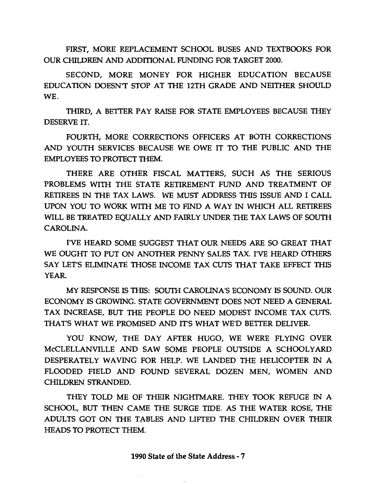FIRST, MORE REPLACEMENT SCHOOL BUSES AND TEXTBOOKS FOR OUR CHILDREN AND ADDffiONAL FUNDING FOR TARGET 2000.

SECOND, MORE MONEY FOR HIGHER EDUCATION BECAUSE EDUCATION DOESN'T STOP AT THE 12TH GRADE AND NEITHER SHOULD WE.

THIRD, A BETTER PAY RAISE FOR STATE EMPLOYEES BECAUSE THEY DESERVE IT.

FOURTH, MORE CORRECTIONS OFFICERS AT BOTH CORRECTIONS AND YOUTH SERVICES BECAUSE WE OWE IT TO THE PUBLIC AND THE EMPLOYEES TO PROTECT THEM.

THERE ARE OTHER FISCAL MATTERS, SUCH AS THE SERIOUS PROBLEMS WITH THE STATE RETIREMENT FUND AND TREATMENT OF RETIREES IN THE TAX LAWS. WE MUST ADDRESS THIS ISSUE AND I CALL UPON YOU TO WORK WITH ME TO FIND A WAY IN WHICH ALL RETIREES WILL BE TREATED EQUALLY AND FAIRLY UNDER THE TAX LAWS OF SOUTH CAROLINA.

I'VE HEARD SOME SUGGEST THAT OUR NEEDS ARE SO GREAT THAT WE OUGHT TO PUT ON ANOTHER PENNY SALES TAX. I'VE HEARD OTHERS SAY LET'S ELIMINATE THOSE INCOME TAX CUTS THAT TAKE EFFECT THIS YEAR.

MY RESPONSE IS THIS: SOUTH CAROLINA'S ECONOMY IS SOUND. OUR ECONOMY IS GROWING. STATE GOVERNMENT DOES NOT NEED A GENERAL TAX INCREASE, BUT THE PEOPLE DO NEED MODEST INCOME TAX CUTS. THAT'S WHAT WE PROMISED AND IT'S WHAT WE'D BETTER DELIVER.

YOU KNOW, THE DAY AFTER HUGO, WE WERE FLYING OVER McCLELLANVILLE AND SAW SOME PEOPLE OUTSIDE A SCHOOLYARD DESPERATELY WAVING FOR HELP. WE LANDED THE HELICOPTER IN A FLOODED FIELD AND FOUND SEVERAL DOZEN MEN, WOMEN AND CHILDREN STRANDED.

THEY TOLD ME OF THEIR NIGHTMARE. THEY TOOK REFUGE IN A SCHOOL, BUT THEN CAME THE SURGE TIDE. AS THE WATER ROSE, THE ADULTS GOT ON THE TABLES AND LIFTED THE CHILDREN OVER THEIR HEADS TO PROTECT THEM.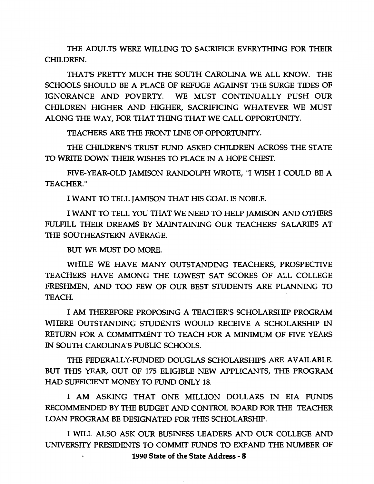THE ADULTS WERE WILLING TO SACRIFICE EVERYTHING FOR THEIR CHILDREN.

THAT'S PRETTY MUCH THE SOUTH CAROLINA WE ALL KNOW. THE SCHOOLS SHOULD BE A PLACE OF REFUGE AGAINST THE SURGE TIDES OF IGNORANCE AND POVERTY. WE MUST CONTINUALLY PUSH OUR CHILDREN HIGHER AND HIGHER, SACRIFICING WHATEVER WE MUST ALONG THE WAY, FOR THAT THING THAT WE CALL OPPORTUNITY.

TEACHERS ARE THE FRONT LINE OF OPPORTUNITY.

THE CHILDREN'S TRUST FUND ASKED CHILDREN ACROSS THE STATE TO WRITE DOWN THEIR WISHES TO PLACE IN A HOPE CHEST.

FIVE-YEAR-OLD JAMISON RANDOLPH WROTE, "I WISH I COULD BE A TEACHER."

I WANT TO TELL JAMISON THAT HIS GOAL IS NOBLE.

I WANT TO TELL YOU THAT WE NEED TO HELP JAMISON AND OTHERS FULFILL THEIR DREAMS BY MAINTAINING OUR TEACHERS' SALARIES AT THE SOUTHEASTERN AVERAGE.

BUT WE MUST DO MORE.

WHILE WE HAVE MANY OUTSTANDING TEACHERS, PROSPECTIVE TEACHERS HAVE AMONG THE LOWEST SAT SCORES OF ALL COLLEGE FRESHMEN, AND TOO FEW OF OUR BEST STUDENTS ARE PLANNING TO TEACH.

I AM THEREFORE PROPOSING A TEACHER'S SCHOLARSHIP PROGRAM WHERE OUTSTANDING STUDENTS WOULD RECEIVE A SCHOLARSHIP IN RETURN FOR A COMMITMENT TO TEACH FOR A MINIMUM OF FIVE YEARS IN SOUTH CAROLINA'S PUBLIC SCHOOLS.

THE FEDERALLY -FUNDED DOUGLAS SCHOLARSHIPS ARE AVAILABLE. BUT THIS YEAR, OUT OF 175 ELIGIBLE NEW APPLICANTS, THE PROGRAM HAD SUFFICIENT MONEY TO FUND ONLY 18.

I AM ASKING THAT ONE MILLION DOLLARS IN EIA FUNDS RECOMMENDED BY THE BUDGET AND CONTROL BOARD FOR THE TEACHER LOAN PROGRAM BE DESIGNATED FOR THIS SCHOLARSHIP.

I WILL ALSO ASK OUR BUSINESS LEADERS AND OUR COLLEGE AND UNIVERSITY PRESIDENTS TO COMMIT FUNDS TO EXPAND THE NUMBER OF 1990 State of the State Address - 8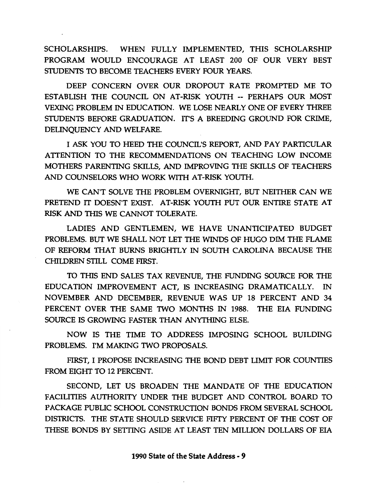SCHOLARSHIPS. WHEN FULLY IMPLEMENTED, THIS SCHOLARSHIP PROGRAM WOULD ENCOURAGE AT LEAST 200 OF OUR VERY BEST STUDENTS TO BECOME TEACHERS EVERY FOUR YEARS.

DEEP CONCERN OVER OUR DROPOUT RATE PROMPTED ME TO ESTABLISH THE COUNCIL ON AT-RISK YOUTH-- PERHAPS OUR MOST VEXING PROBLEM IN EDUCATION. WE LOSE NEARLY ONE OF EVERY THREE STUDENTS BEFORE GRADUATION. IT'S A BREEDING GROUND FOR CRIME, DELINQUENCY AND WELFARE.

I ASK YOU TO HEED THE COUNCIL'S REPORT, AND PAY PARTICULAR ATTENTION TO THE RECOMMENDATIONS ON TEACHING LOW INCOME MOTHERS PARENTING SKILLS, AND IMPROVING THE SKILLS OF TEACHERS AND COUNSELORS WHO WORK WITH AT-RISK YOUTH.

WE CAN'T SOLVE THE PROBLEM OVERNIGHT, BUT NEITHER CAN WE PRETEND IT DOESN'T EXIST. AT-RISK YOUTH PUT OUR ENTIRE STATE AT RISK AND THIS WE CANNOT TOLERATE.

LADIES AND GENTLEMEN, WE HAVE UNANTICIPATED BUDGET PROBLEMS. BUT WE SHALL NOT LET THE WINDS OF HUGO DIM THE FLAME OF REFORM THAT BURNS BRIGHTLY IN SOUTH CAROLINA BECAUSE THE CHILDREN STILL COME FIRST.

TO THIS END SALES TAX REVENUE, THE FUNDING SOURCE FOR THE EDUCATION IMPROVEMENT ACT, IS INCREASING DRAMATICALLY. IN NOVEMBER AND DECEMBER, REVENUE WAS UP 18 PERCENT AND 34 PERCENT OVER THE SAME TWO MONTHS IN 1988. THE EIA FUNDING SOURCE IS GROWING FASTER THAN ANYTHING ELSE.

NOW IS THE TIME TO ADDRESS IMPOSING SCHOOL BUILDING PROBLEMS. I'M MAKING TWO PROPOSALS.

FIRST, I PROPOSE INCREASING THE BOND DEBT LIMIT FOR COUNTIES FROM EIGHT TO 12 PERCENT.

SECOND, LET US BROADEN THE MANDATE OF THE EDUCATION FACILITIES AUTHORITY UNDER THE BUDGET AND CONTROL BOARD TO PACKAGE PUBLIC SCHOOL CONSTRUCTION BONDS FROM SEVERAL SCHOOL DISTRICTS. THE STATE SHOULD SERVICE FIFTY PERCENT OF THE COST OF THESE BONDS BY SETTING ASIDE AT LEAST TEN MILLION DOLLARS OF EIA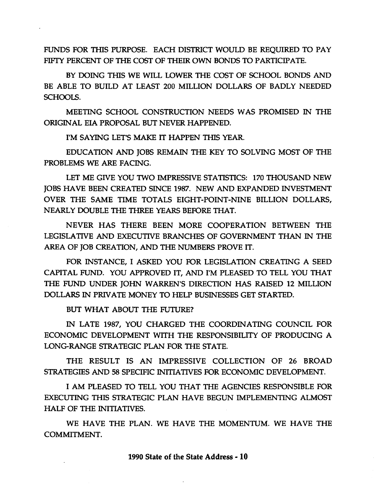FUNDS FOR THIS PURPOSE. EACH DISTRICT WOULD BE REQUIRED TO PAY FIFTY PERCENT OF THE COST OF THEIR OWN BONDS TO PARTICIPATE.

BY DOING THIS WE WILL LOWER THE COST OF SCHOOL BONDS AND BE ABLE TO BUILD AT LEAST 200 MILLION DOLLARS OF BADLY NEEDED SCHOOLS.

MEETING SCHOOL CONSTRUCTION NEEDS WAS PROMISED IN THE ORIGINAL EIA PROPOSAL BUT NEVER HAPPENED.

I'M SAYING LET'S MAKE IT HAPPEN THIS YEAR.

EDUCATION AND JOBS REMAIN THE KEY TO SOLVING MOST OF THE PROBLEMS WE ARE FACING.

LET ME GIVE YOU TWO IMPRESSIVE STATISTICS: 170 THOUSAND NEW JOBS HAVE BEEN CREATED SINCE 1987. NEW AND EXPANDED INVESTMENT OVER THE SAME TIME TOTALS EIGHT-POINT-NINE BILLION DOLLARS, NEARLY DOUBLE THE THREE YEARS BEFORE THAT.

NEVER HAS THERE BEEN MORE COOPERATION BETWEEN THE LEGISLATIVE AND EXECUTIVE BRANCHES OF GOVERNMENT THAN IN THE AREA OF JOB CREATION, AND THE NUMBERS PROVE IT.

FOR INSTANCE, I ASKED YOU FOR LEGISLATION CREATING A SEED CAPITAL FUND. YOU APPROVED IT, AND I'M PLEASED TO TELL YOU THAT THE FUND UNDER JOHN WARREN'S DIRECTION HAS RAISED 12 MILLION DOLLARS IN PRIVATE MONEY TO HELP BUSINESSES GET STARTED.

BUT WHAT ABOUT THE FUTURE?

IN LATE 1987, YOU CHARGED THE COORDINATING COUNCIL FOR ECONOMIC DEVELOPMENT WITH THE RESPONSIBILITY OF PRODUCING A LONG-RANGE STRATEGIC PLAN FOR THE STATE.

THE RESULT IS AN IMPRESSIVE COLLECTION OF 26 BROAD STRATEGIES AND 58 SPECIFIC INITIATIVES FOR ECONOMIC DEVELOPMENT.

I AM PLEASED TO TELL YOU THAT THE AGENCIES RESPONSIBLE FOR EXECUTING THIS STRATEGIC PLAN HAVE BEGUN IMPLEMENTING ALMOST HALF OF THE INITIATIVES.

WE HAVE THE PLAN. WE HAVE THE MOMENTUM. WE HAVE THE COMMITMENT.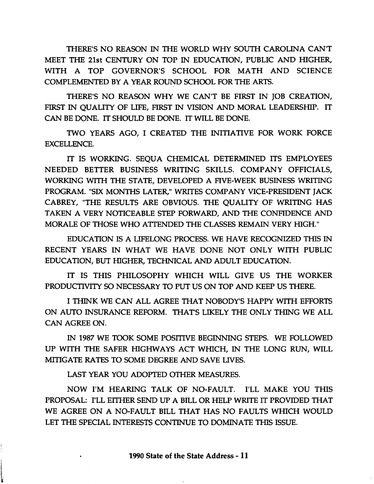THERE'S NO REASON IN THE WORLD WHY SOUTH CAROLINA CAN'T MEET THE 21st CENTURY ON TOP IN EDUCATION, PUBLIC AND HIGHER, WITH A TOP GOVERNOR'S SCHOOL FOR MATH AND SCIENCE COMPLEMENTED BY A YEAR ROUND SCHOOL FOR THE ARTS.

THERE'S NO REASON WHY WE CAN'T BE FIRST IN JOB CREATION, FIRST IN QUALITY OF LIFE, FIRST IN VISION AND MORAL LEADERSHIP. IT CAN BE DONE. IT SHOULD BE DONE. IT WILL BE DONE.

TWO YEARS AGO, I CREATED THE INITIATIVE FOR WORK FORCE EXCELLENCE.

IT IS WORKING. SEQUA CHEMICAL DETERMINED ITS EMPLOYEES NEEDED BETTER BUSINESS WRITING SKILLS. COMPANY OFFICIALS, WORKING WITH THE STATE, DEVELOPED A FIVE-WEEK BUSINESS WRITING PROGRAM. "SIX MONTHS LATER," WRITES COMPANY VICE-PRESIDENT JACK CABREY, "THE RESULTS ARE OBVIOUS. THE QUALITY OF WRITING HAS TAKEN A VERY NOTICEABLE STEP FORWARD, AND THE CONFIDENCE AND MORALE OF THOSE WHO ATTENDED THE CLASSES REMAIN VERY HIGH."

EDUCATION IS A LIFELONG PROCESS. WE HAVE RECOGNIZED THIS IN RECENT YEARS IN WHAT WE HAVE DONE NOT ONLY WITH PUBLIC EDUCATION, BUT HIGHER, TECHNICAL AND ADULT EDUCATION.

IT IS THIS PHILOSOPHY WHICH WILL GIVE US THE WORKER PRODUCTIVITY SO NECESSARY TO PUT US ON TOP AND KEEP US THERE.

I THINK WE CAN ALL AGREE THAT NOBODY'S HAPPY WITH EFFORTS ON AUTO INSURANCE REFORM. THAT'S LIKELY THE ONLY THING WE ALL CAN AGREE ON.

IN 1987 WE TOOK SOME POSITIVE BEGINNING STEPS. WE FOLLOWED UP WITH THE SAFER HIGHWAYS ACT WHICH, IN THE LONG RUN, WILL MITIGATE RATES TO SOME DEGREE AND SAVE LIVES.

LAST YEAR YOU ADOPTED OTHER MEASURES.

l

NOW I'M HEARING TALK OF NO-FAULT. I'LL MAKE YOU THIS PROPOSAL: I'LL EITHER SEND UP A BILL OR HELP WRITE IT PROVIDED THAT WE AGREE ON A NO-FAULT BILL THAT HAS NO FAULTS WHICH WOULD LET THE SPECIAL INTERESTS CONTINUE TO DOMINATE THIS ISSUE.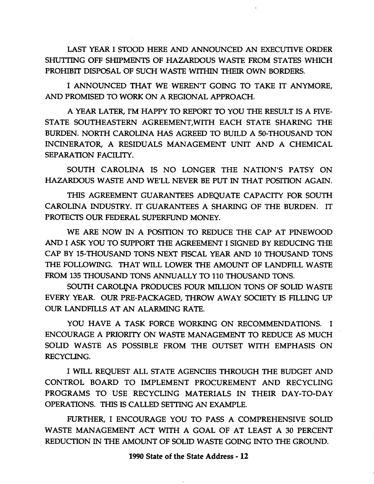LAST YEAR I STOOD HERE AND ANNOUNCED AN EXECUTIVE ORDER SHUTTING OFF SHIPMENTS OF HAZARDOUS WASTE FROM STATES WHICH PROHIBIT DISPOSAL OF SUCH WASTE WITHIN THEIR OWN BORDERS.

I ANNOUNCED THAT WE WEREN'T GOING TO TAKE IT ANYMORE, AND PROMISED TO WORK ON A REGIONAL APPROACH.

A YEAR LATER, I'M HAPPY TO REPORT TO YOU THE RESULT IS A FIVE-STATE SOUTHEASTERN AGREEMENT,WITH EACH STATE SHARING THE BURDEN. NORTH CAROLINA HAS AGREED TO BUILD A 50-THOUSAND TON INCINERATOR, A RESIDUALS MANAGEMENT UNIT AND A CHEMICAL SEPARATION FACILITY.

SOUTH CAROLINA IS NO LONGER THE NATION'S PATSY ON HAZARDOUS WASTE AND WE'LL NEVER BE PUT IN THAT POSITION AGAIN.

THIS AGREEMENT GUARANTEES ADEQUATE CAPACITY FOR SOUTH CAROLINA INDUSTRY. IT GUARANTEES A SHARING OF THE BURDEN. IT PROTECTS OUR FEDERAL SUPERFUND MONEY.

WE ARE NOW IN A POSffiON TO REDUCE THE CAP AT PINEWOOD AND I ASK YOU TO SUPPORT THE AGREEMENT I SIGNED BY REDUCING THE CAP BY 15-THOUSAND TONS NEXT FISCAL YEAR AND 10 THOUSAND TONS THE FOLLOWING. THAT WILL LOWER THE AMOUNT OF LANDFILL WASTE FROM 135 THOUSAND TONS ANNUALLY TO 110 THOUSAND TONS.

SOUTH CAROLINA PRODUCES FOUR MILLION TONS OF SOLID WASTE EVERY YEAR. OUR PRE-PACKAGED, THROW AWAY SOCIETY IS FILLING UP OUR LANDFILLS AT AN ALARMING RATE.

YOU HAVE A TASK FORCE WORKING ON RECOMMENDATIONS. I ENCOURAGE A PRIORITY ON WASTE MANAGEMENT TO REDUCE AS MUCH SOLID WASTE AS POSSIBLE FROM THE OUTSET WITH EMPHASIS ON RECYCLING.

I WILL REQUEST ALL STATE AGENCIES THROUGH THE BUDGET AND CONTROL BOARD TO IMPLEMENT PROCUREMENT AND RECYCLING PROGRAMS TO USE RECYCLING MATERIALS IN THEIR DAY-TO-DAY OPERATIONS. THIS IS CALLED SETTING AN EXAMPLE.

FURTHER, I ENCOURAGE YOU TO PASS A COMPREHENSIVE SOLID WASTE MANAGEMENT ACT WITH A GOAL OF AT LEAST A 30 PERCENT REDUCTION IN THE AMOUNT OF SOLID WASTE GOING INTO THE GROUND.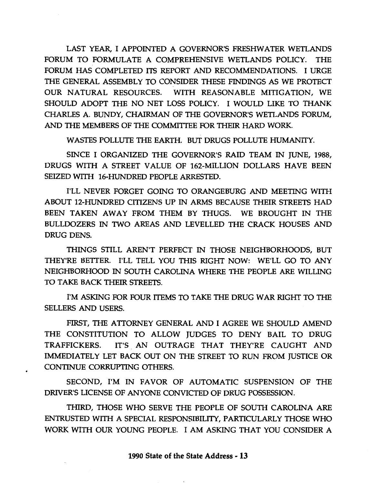LAST YEAR, I APPOINTED A GOVERNOR'S FRESHWATER WETLANDS FORUM TO FORMULATE A COMPREHENSIVE WETLANDS POLICY. THE FORUM HAS COMPLETED ITS REPORT AND RECOMMENDATIONS. I URGE THE GENERAL ASSEMBLY TO CONSIDER THESE FINDINGS AS WE PROTECT OUR NATURAL RESOURCES. WITH REASONABLE MITIGATION, WE SHOULD ADOPT THE NO NET LOSS POLICY. I WOULD LIKE TO THANK CHARLES A. BUNDY, CHAIRMAN OF THE GOVERNOR'S WETLANDS FORUM, AND THE MEMBERS OF THE COMMITTEE FOR THEIR HARD WORK.

WASTES POLLUTE THE EARTH. BUT DRUGS POLLUTE HUMANITY.

SINCE I ORGANIZED THE GOVERNOR'S RAID TEAM IN JUNE, 1988, DRUGS WITH A STREET VALUE OF 162-MILLION DOLLARS HAVE BEEN SEIZED WITH 16-HUNDRED PEOPLE ARRESTED.

I'LL NEVER FORGET GOING TO ORANGEBURG AND MEETING WITH ABOUT 12-HUNDRED CITIZENS UP IN ARMS BECAUSE THEIR STREETS HAD BEEN TAKEN AWAY FROM THEM BY THUGS. WE BROUGHT IN THE BULLDOZERS IN TWO AREAS AND LEVELLED THE CRACK HOUSES AND DRUG DENS.

THINGS STILL AREN'T PERFECT IN THOSE NEIGHBORHOODS, BUT THEY'RE BETTER. I'LL TELL YOU THIS RIGHT NOW: WE'LL GO TO ANY NEIGHBORHOOD IN SOUTH CAROLINA WHERE THE PEOPLE ARE WILLING TO TAKE BACK THEIR STREETS.

I'M ASKING FOR FOUR ITEMS TO TAKE THE DRUG WAR RIGHT TO THE SELLERS AND USERS.

FIRST, THE ATTORNEY GENERAL AND I AGREE WE SHOULD AMEND THE CONSTITUTION TO ALLOW JUDGES TO DENY BAIL TO DRUG TRAFFICKERS. IT'S AN OUTRAGE THAT THEY'RE CAUGHT AND IMMEDIATELY LET BACK OUT ON THE STREET TO RUN FROM JUSTICE OR CONTINUE CORRUPTING OTHERS.

SECOND, I'M IN FAVOR OF AUTOMATIC SUSPENSION OF THE DRIVER'S LICENSE OF ANYONE CONVICTED OF DRUG POSSESSION.

THIRD, THOSE WHO SERVE THE PEOPLE OF SOUTH CAROLINA ARE ENTRUSTED WITH A SPECIAL RESPONSIBILITY, PARTICULARLY THOSE WHO WORK WITH OUR YOUNG PEOPLE. I AM ASKING THAT YOU CONSIDER A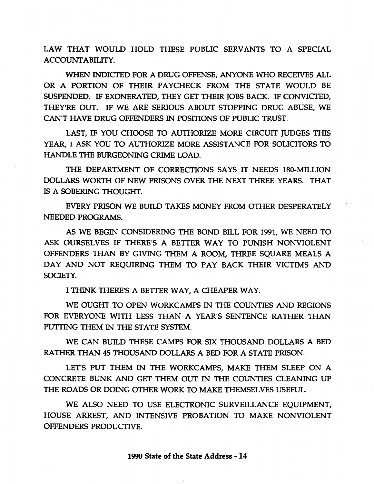LAW THAT WOULD HOLD THESE PUBLIC SERVANTS TO A SPECIAL ACCOUNTABILITY.

WHEN INDICTED FOR A DRUG OFFENSE, ANYONE WHO RECEIVES ALL OR A PORTION OF THEIR PAYCHECK FROM THE STATE WOULD BE SUSPENDED. IF EXONERATED, THEY GET THEIR JOBS BACK. IF CONVICTED, THEY'RE OUT. IF WE ARE SERIOUS ABOUT STOPPING DRUG ABUSE, WE CAN'T HAVE DRUG OFFENDERS IN POSffiONS OF PUBLIC TRUST.

LAST, IF YOU CHOOSE TO AUTHORIZE MORE CIRCUIT JUDGES THIS YEAR, I ASK YOU TO AUTHORIZE MORE ASSISTANCE FOR SOLICITORS TO HANDLE THE BURGEONING CRIME LOAD.

THE DEPARTMENT OF CORRECTIONS SAYS IT NEEDS 180-MILLION DOLLARS WORTH OF NEW PRISONS OVER THE NEXT THREE YEARS. THAT IS A SOBERING THOUGHT.

EVERY PRISON WE BUILD TAKES MONEY FROM OTHER DESPERATELY NEEDED PROGRAMS.

AS WE BEGIN CONSIDERING THE BOND BILL FOR 1991, WE NEED TO ASK OURSELVES IF THERE'S A BETTER WAY TO PUNISH NONVIOLENT OFFENDERS THAN BY GIVING THEM A ROOM, THREE SQUARE MEALS A DAY AND NOT REQUIRING THEM TO PAY BACK THEIR VICTIMS AND SOCIETY.

I THINK THERE'S A BETTER WAY, A CHEAPER WAY.

WE OUGHT TO OPEN WORKCAMPS IN THE COUNTIES AND REGIONS FOR EVERYONE WITH LESS THAN A YEAR'S SENTENCE RATHER THAN PUTTING THEM IN THE STATE SYSTEM.

WE CAN BUILD THESE CAMPS FOR SIX THOUSAND DOLLARS A BED RATHER THAN 45 THOUSAND DOLLARS A BED FOR A STATE PRISON.

LET'S PUT THEM IN THE WORKCAMPS, MAKE THEM SLEEP ON A CONCRETE BUNK AND GET THEM OUT IN THE COUNTIES CLEANING UP THE ROADS OR DOING OTHER WORK TO MAKE THEMSELVES USEFUL.

WE ALSO NEED TO USE ELECTRONIC SURVEILLANCE EQUIPMENT, HOUSE ARREST, AND INTENSIVE PROBATION TO MAKE NONVIOLENT OFFENDERS PRODUCTIVE.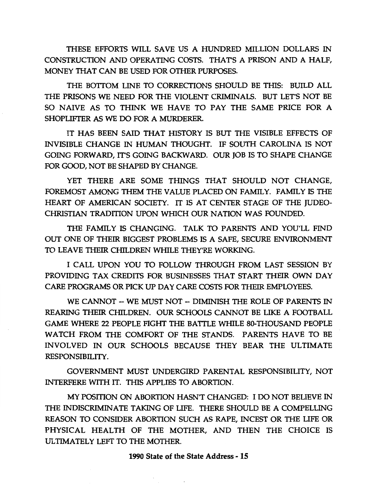THESE EFFORTS WILL SAVE US A HUNDRED MILLION DOLLARS IN CONSTRUCTION AND OPERATING COSTS. THAT'S A PRISON AND A HALF, MONEY THAT CAN BE USED FOR OTHER PURPOSES.

THE BOTTOM LINE TO CORRECTIONS SHOULD BE THIS: BUILD ALL THE PRISONS WE NEED FOR THE VIOLENT CRIMINALS. BUT LET'S NOT BE SO NAIVE AS TO THINK WE HAVE TO PAY THE SAME PRICE FOR A SHOPLIFTER AS WE DO FOR A MURDERER.

IT HAS BEEN SAID THAT HISTORY IS BUT THE VISIBLE EFFECTS OF INVISIBLE CHANGE IN HUMAN THOUGHT. IF SOUTH CAROLINA IS NOT GOING FORWARD, IT'S GOING BACKWARD. OUR JOB IS TO SHAPE CHANGE FOR GOOD, NOT BE SHAPED BY CHANGE.

YET THERE ARE SOME THINGS THAT SHOULD NOT CHANGE, FOREMOST AMONG THEM THE VALUE PLACED ON FAMILY. FAMILY IS THE HEART OF AMERICAN SOCIETY. IT IS AT CENTER STAGE OF THE JUDEO-CHRISTIAN TRADffiON UPON WHICH OUR NATION WAS FOUNDED.

THE FAMILY IS CHANGING. TALK TO PARENTS AND YOU'LL FIND OUT ONE OF THEIR BIGGEST PROBLEMS IS A SAFE, SECURE ENVIRONMENT TO LEAVE THEIR CHILDREN WHILE THEY'RE WORKING.

I CALL UPON YOU TO FOLLOW THROUGH FROM LAST SESSION BY PROVIDING TAX CREDITS FOR BUSINESSES THAT START THEIR OWN DAY CARE PROGRAMS OR PICK UP DAY CARE COSTS FOR THEIR EMPLOYEES.

WE CANNOT -- WE MUST NOT -- DIMINISH THE ROLE OF PARENTS IN REARING THEIR CHILDREN. OUR SCHOOLS CANNOT BE LIKE A FOOTBALL GAME WHERE 22 PEOPLE FIGHT THE BATTLE WHILE 80-THOUSAND PEOPLE WATCH FROM THE COMFORT OF THE STANDS. PARENTS HAVE TO BE INVOLVED IN OUR SCHOOLS BECAUSE THEY BEAR THE ULTIMATE RESPONSIBILITY.

GOVERNMENT MUST UNDERGIRD PARENTAL RESPONSIBILITY, NOT INTERFERE WITH IT. THIS APPLIES TO ABORTION.

MY POSffiON ON ABORTION HASN'T CHANGED: I DO NOT BEUEVE IN THE INDISCRIMINATE TAKING OF LIFE. THERE SHOULD BE A COMPELLING REASON TO CONSIDER ABORTION SUCH AS RAPE, INCEST OR THE LIFE OR PHYSICAL HEALTH OF THE MOTHER, AND THEN THE CHOICE IS ULTIMATELY LEFT TO THE MOTHER.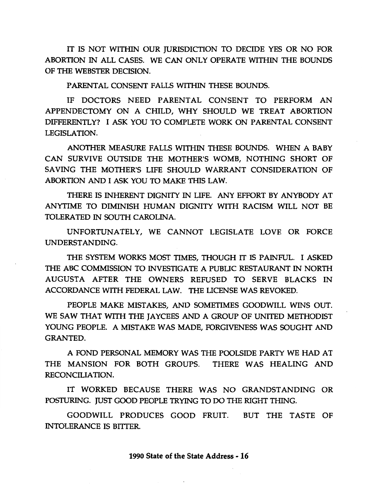IT IS NOT WITHIN OUR JURISDICTION TO DECIDE YES OR NO FOR ABORTION IN ALL CASES. WE CAN ONLY OPERATE WITHIN THE BOUNDS OF THE WEBSTER DECISION.

PARENTAL CONSENT FALLS WITHIN THESE BOUNDS.

IF DOCTORS NEED PARENTAL CONSENT TO PERFORM AN APPENDECTOMY ON A CHILD, WHY SHOULD WE TREAT ABORTION DIFFERENTLY? I ASK YOU TO COMPLETE WORK ON PARENTAL CONSENT LEGISLATION.

ANOTHER MEASURE FALLS WITHIN THESE BOUNDS. WHEN A BABY CAN SURVIVE OUTSIDE THE MOTHER'S WOMB, NOTHING SHORT OF SAVING THE MOTHER'S LIFE SHOULD WARRANT CONSIDERATION OF ABORTION AND I ASK YOU TO MAKE THIS LAW.

THERE IS INHERENT DIGNITY IN LIFE. ANY EFFORT BY ANYBODY AT ANYTIME TO DIMINISH HUMAN DIGNITY WITH RACISM WILL NOT BE TOLERATED IN SOUTH CAROLINA.

UNFORTUNATELY, WE CANNOT LEGISLATE LOVE OR FORCE UNDERSTANDING.

THE SYSTEM WORKS MOST TIMES, THOUGH IT IS PAINFUL. I ASKED THE ABC COMMISSION TO INVESTIGATE A PUBLIC RESTAURANT IN NORTH AUGUSTA AFTER THE OWNERS REFUSED TO SERVE BLACKS IN ACCORDANCE WITH FEDERAL LAW. THE UCENSE WAS REVOKED.

PEOPLE MAKE MISTAKES, AND SOMETIMES GOODWILL WINS OUT. WE SAW THAT WITH THE JAYCEES AND A GROUP OF UNITED METHODIST YOUNG PEOPLE. A MISTAKE WAS MADE, FORGIVENESS WAS SOUGHT AND GRANTED.

A FOND PERSONAL MEMORY WAS THE POOLSIDE PARTY WE HAD AT THE MANSION FOR BOTH GROUPS. THERE WAS HEALING AND RECONCILIATION.

IT WORKED BECAUSE THERE WAS NO GRANDSTANDING OR POSTURING. JUST GOOD PEOPLE TRYING TO DO THE RIGHT THING.

GOODWILL PRODUCES GOOD FRUIT. BUT THE TASTE OF INTOLERANCE IS BITTER.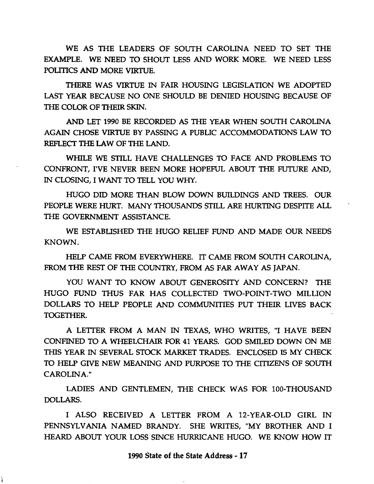WE AS THE LEADERS OF SOUTH CAROLINA NEED TO SET THE EXAMPLE. WE NEED TO SHOUT LESS AND WORK MORE. WE NEED LESS POLITICS AND MORE VIRTUE.

THERE WAS VIRTUE IN FAIR HOUSING LEGISLATION WE ADOPTED LAST YEAR BECAUSE NO ONE SHOULD BE DENIED HOUSING BECAUSE OF THE COLOR OF THEIR SKIN.

AND LET 1990 BE RECORDED AS THE YEAR WHEN SOUTH CAROLINA AGAIN CHOSE VIRTUE BY PASSING A PUBLIC ACCOMMODATIONS LAW TO REFLECT THE LAW OF THE LAND.

WHILE WE STILL HAVE CHALLENGES TO FACE AND PROBLEMS TO CONFRONT, I'VE NEVER BEEN MORE HOPEFUL ABOUT THE FUTURE AND, IN CLOSING, I WANT TO TELL YOU WHY.

HUGO DID MORE THAN BLOW DOWN BUILDINGS AND TREES. OUR PEOPLE WERE HURT. MANY THOUSANDS STILL ARE HURTING DESPITE ALL THE GOVERNMENT ASSISTANCE.

WE ESTABUSHED THE HUGO RELIEF FUND AND MADE OUR NEEDS KNOWN.

HELP CAME FROM EVERYWHERE. IT CAME FROM SOUTH CAROLINA, FROM THE REST OF THE COUNTRY, FROM AS FAR AWAY AS JAPAN.

YOU WANT TO KNOW ABOUT GENEROSITY AND CONCERN? THE HUGO FUND THUS FAR HAS COLLECTED TWO-POINT-TWO MILLION DOLLARS TO HELP PEOPLE AND COMMUNITIES PUT THEIR LIVES BACK TOGETHER.

A LEITER FROM A MAN IN TEXAS, WHO WRITES, "I HAVE BEEN CONFINED TO A WHEELCHAIR FOR 41 YEARS. GOD SMILED DOWN ON ME THIS YEAR IN SEVERAL STOCK MARKET TRADES. ENCLOSED IS MY CHECK TO HELP GIVE NEW MEANING AND PURPOSE TO THE CITIZENS OF SOUTH CAROLINA."

LADIES AND GENTLEMEN, THE CHECK WAS FOR 100-THOUSAND DOLLARS.

I ALSO RECEIVED A LETTER FROM A 12-YEAR-OLD GIRL IN PENNSYLVANIA NAMED BRANDY. SHE WRITES, "MY BROTHER AND I HEARD ABOUT YOUR LOSS SINCE HURRICANE HUGO. WE KNOW HOW IT